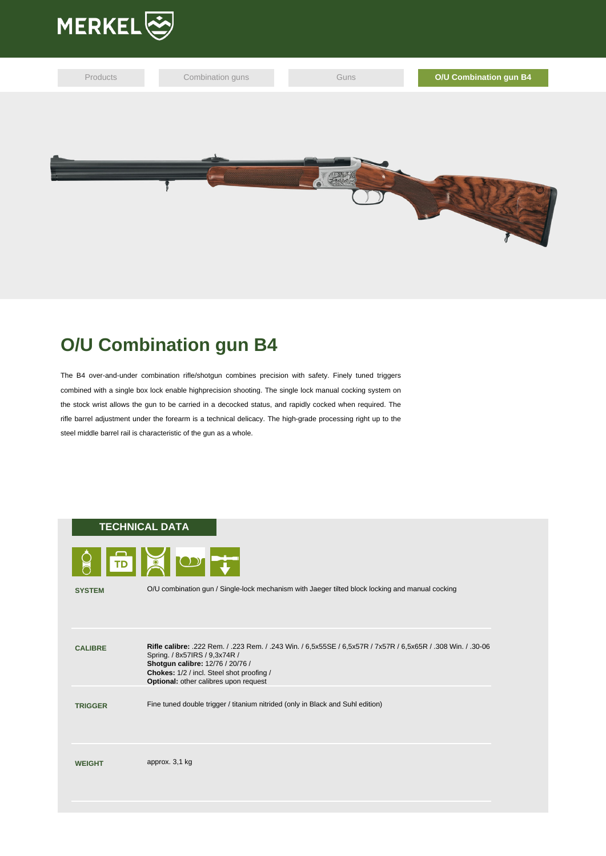



## **O/U Combination gun B4**

The B4 over-and-under combination rifle/shotgun combines precision with safety. Finely tuned triggers combined with a single box lock enable highprecision shooting. The single lock manual cocking system on the stock wrist allows the gun to be carried in a decocked status, and rapidly cocked when required. The rifle barrel adjustment under the forearm is a technical delicacy. The high-grade processing right up to the steel middle barrel rail is characteristic of the gun as a whole.

## **TECHNICAL DATA**



|  |  | TD BOIL |  |
|--|--|---------|--|
|  |  |         |  |

**SYSTEM** O/U combination gun / Single-lock mechanism with Jaeger tilted block locking and manual cocking

**CALIBRE Rifle calibre:** .222 Rem. / .223 Rem. / .243 Win. / 6,5x55SE / 6,5x57R / 7x57R / 6,5x65R / .308 Win. / .30-06 Spring. / 8x57IRS / 9,3x74R / **Shotgun calibre:** 12/76 / 20/76 / **Chokes:** 1/2 / incl. Steel shot proofing / **Optional:** other calibres upon request **TRIGGER** Fine tuned double trigger / titanium nitrided (only in Black and Suhl edition) **WEIGHT** approx. 3,1 kg